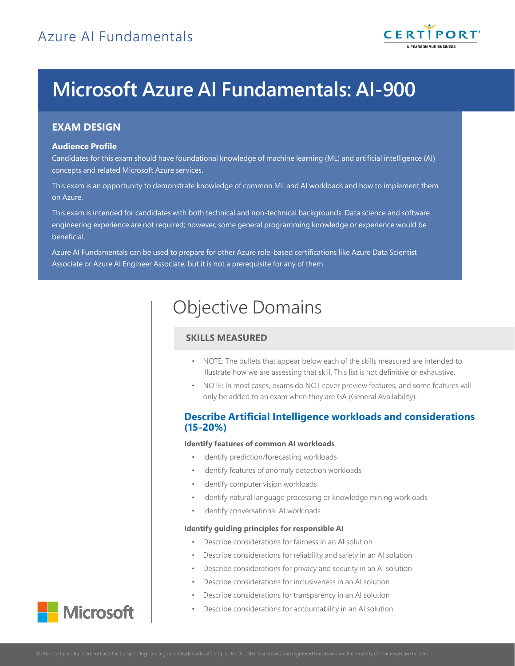

# **Microsoft Azure AI Fundamentals: AI-900**

## **EXAM DESIGN**

#### **Audience Profile**

Candidates for this exam should have foundational knowledge of machine learning (ML) and artificial intelligence (AI) concepts and related Microsoft Azure services.

This exam is an opportunity to demonstrate knowledge of common ML and AI workloads and how to implement them on Azure.

This exam is intended for candidates with both technical and non-technical backgrounds. Data science and software engineering experience are not required; however, some general programming knowledge or experience would be beneficial.

Azure AI Fundamentals can be used to prepare for other Azure role-based certifications like Azure Data Scientist Associate or Azure AI Engineer Associate, but it is not a prerequisite for any of them.

## Objective Domains

## **SKILLS MEASURED**

- NOTE: The bullets that appear below each of the skills measured are intended to illustrate how we are assessing that skill. This list is not definitive or exhaustive.
- NOTE: In most cases, exams do NOT cover preview features, and some features will only be added to an exam when they are GA (General Availability).

## **Describe Artificial Intelligence workloads and considerations (15-20%)**

#### **Identify features of common AI workloads**

- Identify prediction/forecasting workloads
- Identify features of anomaly detection workloads
- Identify computer vision workloads
- Identify natural language processing or knowledge mining workloads
- Identify conversational AI workloads

#### **Identify guiding principles for responsible AI**

- Describe considerations for fairness in an AI solution
- Describe considerations for reliability and safety in an AI solution
- Describe considerations for privacy and security in an AI solution
- Describe considerations for inclusiveness in an AI solution
- Describe considerations for transparency in an AI solution
- Describe considerations for accountability in an AI solution